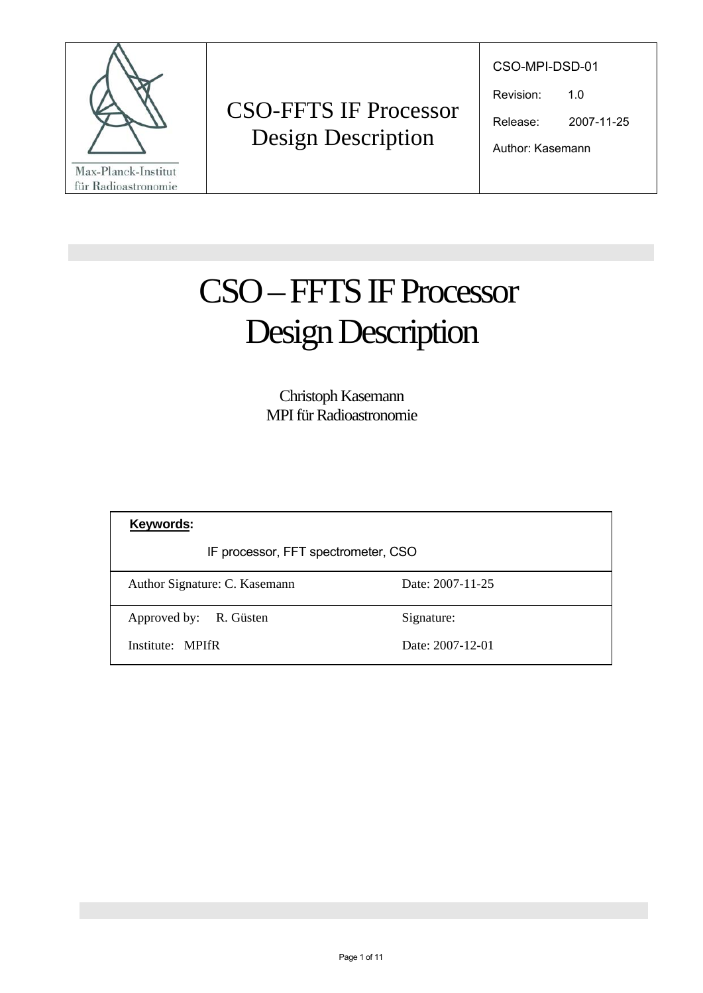

CSO-MPI-DSD-01

Revision: 1.0

Release: 2007-11-25

Author: Kasemann

# Design Description CSO – FFTS IF Processor

Christoph Kasemann MPI für Radioastronomie

| Keywords:                           |                  |  |
|-------------------------------------|------------------|--|
| IF processor, FFT spectrometer, CSO |                  |  |
| Author Signature: C. Kasemann       | Date: 2007-11-25 |  |
| Approved by: R. Güsten              | Signature:       |  |
| Institute: MPIfR                    | Date: 2007-12-01 |  |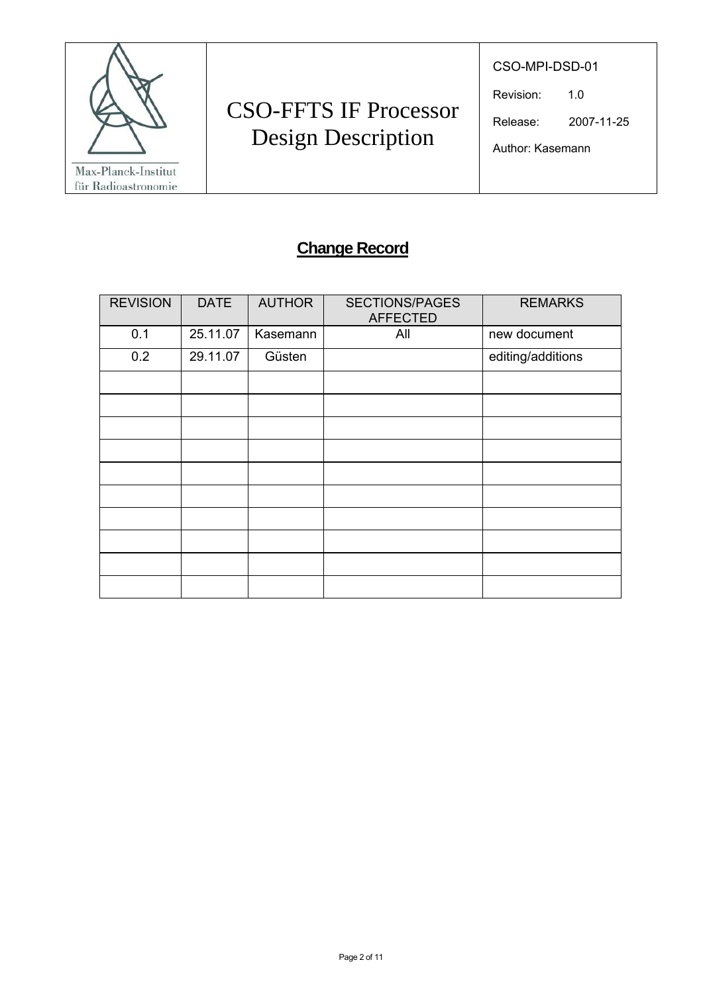

CSO-MPI-DSD-01

Revision: 1.0

Release: 2007-11-25

Author: Kasemann

### **Change Record**

| <b>REVISION</b> | <b>DATE</b> | <b>AUTHOR</b> | <b>SECTIONS/PAGES</b><br><b>AFFECTED</b> | <b>REMARKS</b>    |
|-----------------|-------------|---------------|------------------------------------------|-------------------|
| 0.1             | 25.11.07    | Kasemann      | All                                      | new document      |
| 0.2             | 29.11.07    | Güsten        |                                          | editing/additions |
|                 |             |               |                                          |                   |
|                 |             |               |                                          |                   |
|                 |             |               |                                          |                   |
|                 |             |               |                                          |                   |
|                 |             |               |                                          |                   |
|                 |             |               |                                          |                   |
|                 |             |               |                                          |                   |
|                 |             |               |                                          |                   |
|                 |             |               |                                          |                   |
|                 |             |               |                                          |                   |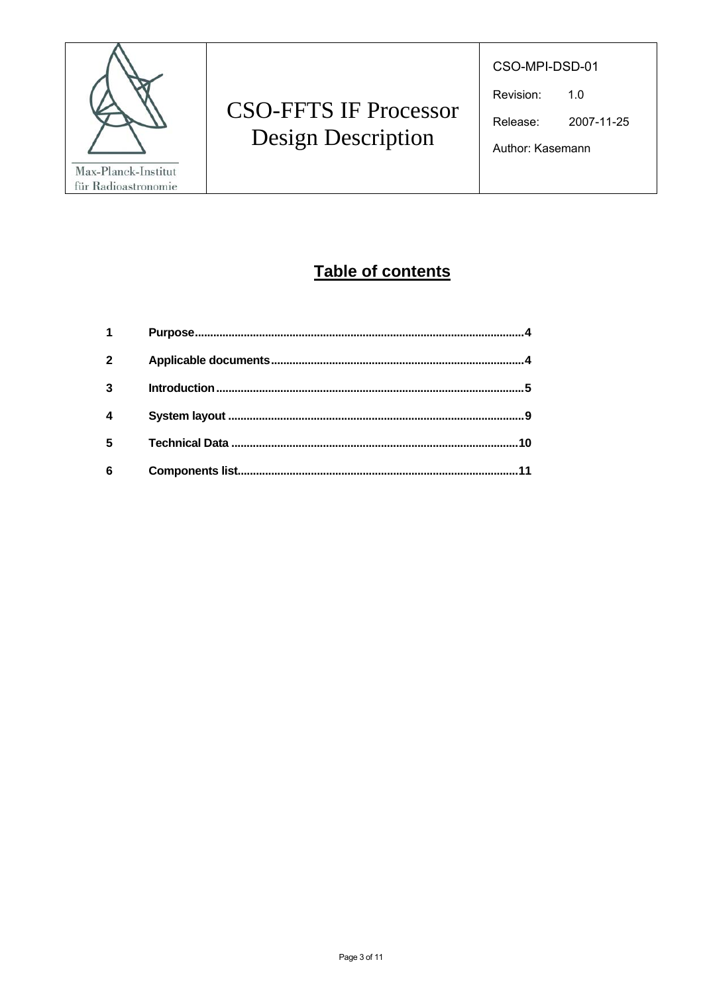

CSO-MPI-DSD-01

Revision:  $1.0$ 

2007-11-25 Release:

Table of contents

| $\mathbf{2}$ |    |
|--------------|----|
| 3            |    |
|              | 9  |
| 5            | 10 |
| 6            | 11 |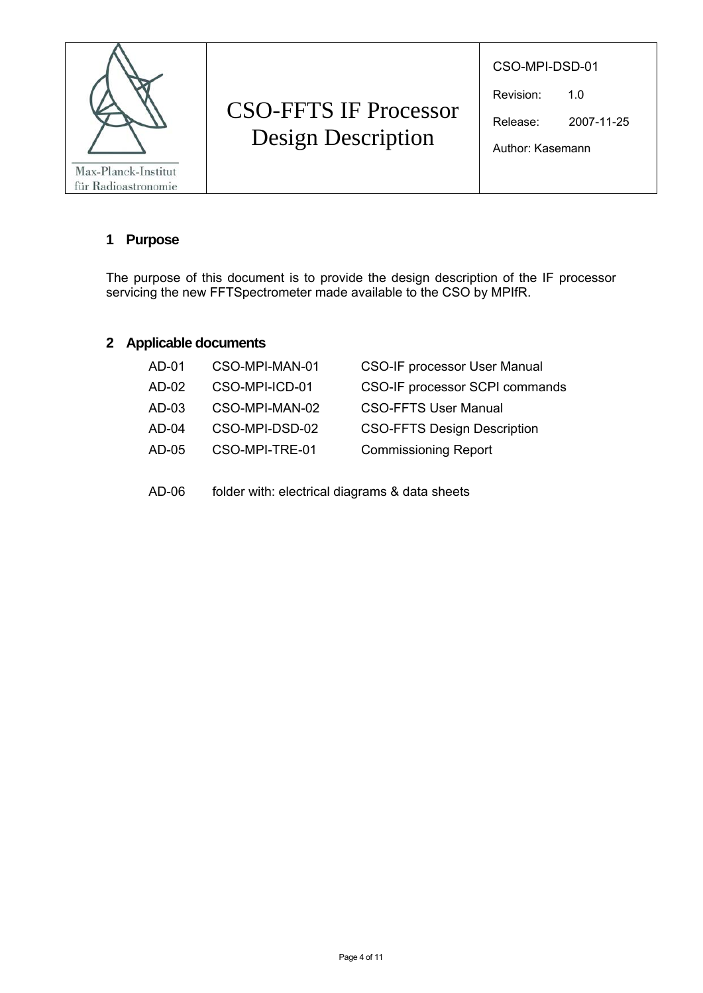

CSO-MPI-DSD-01

Revision: 1.0

Release: 2007-11-25

Author: Kasemann

#### **1 Purpose**

The purpose of this document is to provide the design description of the IF processor servicing the new FFTSpectrometer made available to the CSO by MPIfR.

#### **2 Applicable documents**

| AD-01   | CSO-MPI-MAN-01 | <b>CSO-IF processor User Manual</b> |
|---------|----------------|-------------------------------------|
| AD-02   | CSO-MPI-ICD-01 | CSO-IF processor SCPI commands      |
| $AD-03$ | CSO-MPI-MAN-02 | <b>CSO-FFTS User Manual</b>         |
| $AD-04$ | CSO-MPI-DSD-02 | <b>CSO-FFTS Design Description</b>  |
| $AD-05$ | CSO-MPI-TRE-01 | <b>Commissioning Report</b>         |
|         |                |                                     |

AD-06 folder with: electrical diagrams & data sheets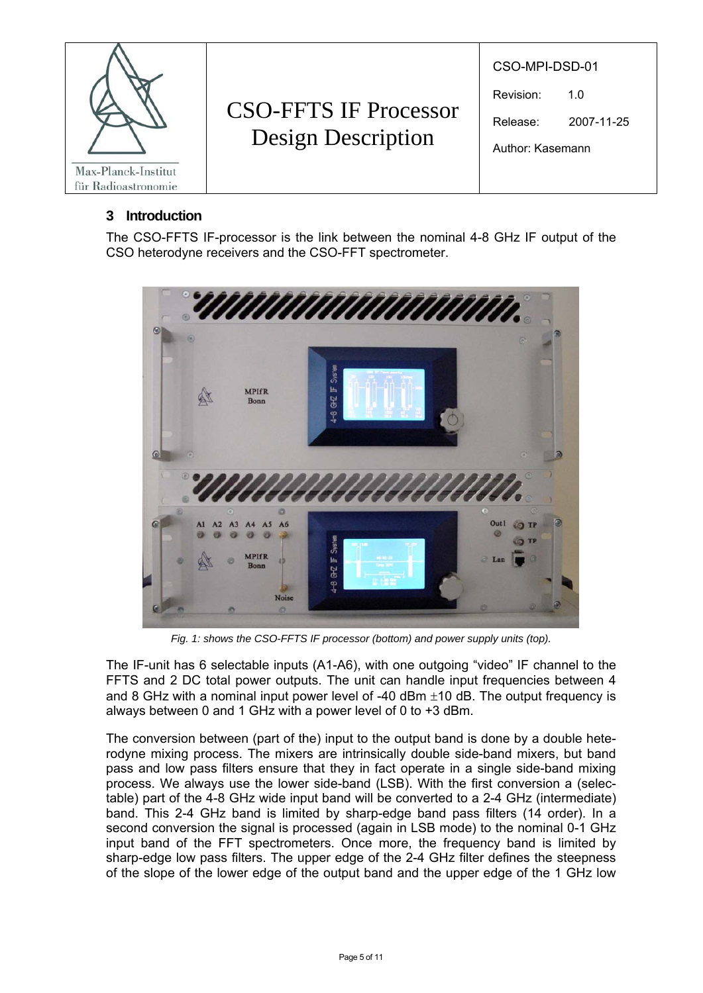

#### **3 Introduction**

The CSO-FFTS IF-processor is the link between the nominal 4-8 GHz IF output of the CSO heterodyne receivers and the CSO-FFT spectrometer.



*Fig. 1: shows the CSO-FFTS IF processor (bottom) and power supply units (top).* 

The IF-unit has 6 selectable inputs (A1-A6), with one outgoing "video" IF channel to the FFTS and 2 DC total power outputs. The unit can handle input frequencies between 4 and 8 GHz with a nominal input power level of -40 dBm  $\pm$ 10 dB. The output frequency is always between 0 and 1 GHz with a power level of 0 to +3 dBm.

The conversion between (part of the) input to the output band is done by a double heterodyne mixing process. The mixers are intrinsically double side-band mixers, but band pass and low pass filters ensure that they in fact operate in a single side-band mixing process. We always use the lower side-band (LSB). With the first conversion a (selectable) part of the 4-8 GHz wide input band will be converted to a 2-4 GHz (intermediate) band. This 2-4 GHz band is limited by sharp-edge band pass filters (14 order). In a second conversion the signal is processed (again in LSB mode) to the nominal 0-1 GHz input band of the FFT spectrometers. Once more, the frequency band is limited by sharp-edge low pass filters. The upper edge of the 2-4 GHz filter defines the steepness of the slope of the lower edge of the output band and the upper edge of the 1 GHz low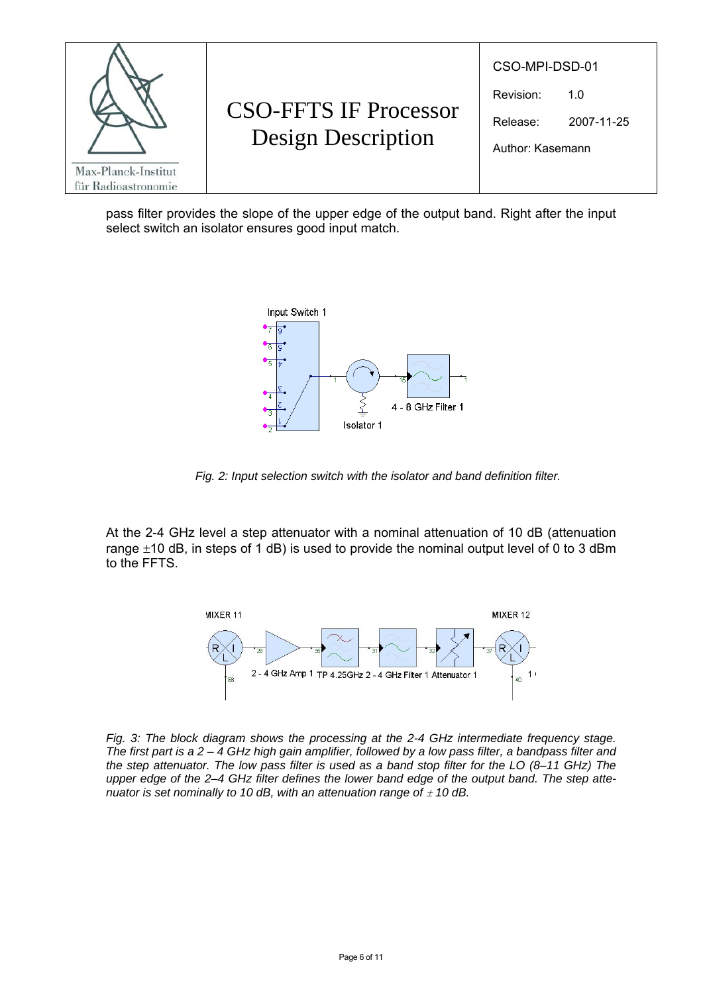

pass filter provides the slope of the upper edge of the output band. Right after the input select switch an isolator ensures good input match.



*Fig. 2: Input selection switch with the isolator and band definition filter.* 

At the 2-4 GHz level a step attenuator with a nominal attenuation of 10 dB (attenuation range  $\pm$ 10 dB, in steps of 1 dB) is used to provide the nominal output level of 0 to 3 dBm to the FFTS.



*Fig. 3: The block diagram shows the processing at the 2-4 GHz intermediate frequency stage. The first part is a 2 – 4 GHz high gain amplifier, followed by a low pass filter, a bandpass filter and the step attenuator. The low pass filter is used as a band stop filter for the LO (8–11 GHz) The upper edge of the 2–4 GHz filter defines the lower band edge of the output band. The step attenuator is set nominally to 10 dB, with an attenuation range of*  $\pm$  *10 dB.*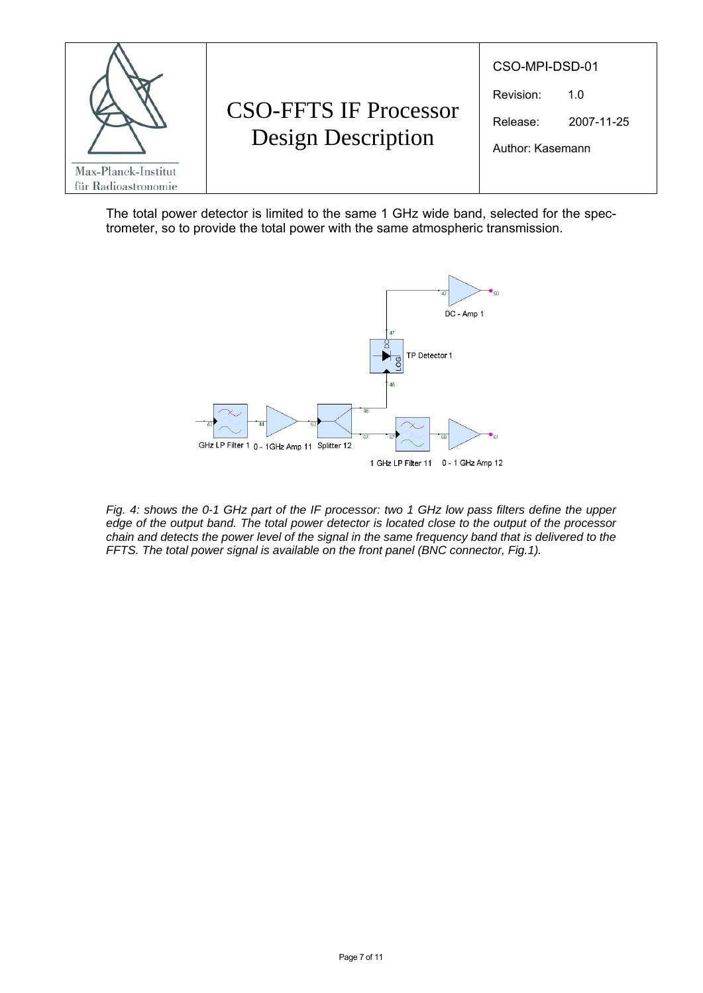

The total power detector is limited to the same 1 GHz wide band, selected for the spectrometer, so to provide the total power with the same atmospheric transmission.



*Fig. 4: shows the 0-1 GHz part of the IF processor: two 1 GHz low pass filters define the upper edge of the output band. The total power detector is located close to the output of the processor chain and detects the power level of the signal in the same frequency band that is delivered to the FFTS. The total power signal is available on the front panel (BNC connector, Fig.1).*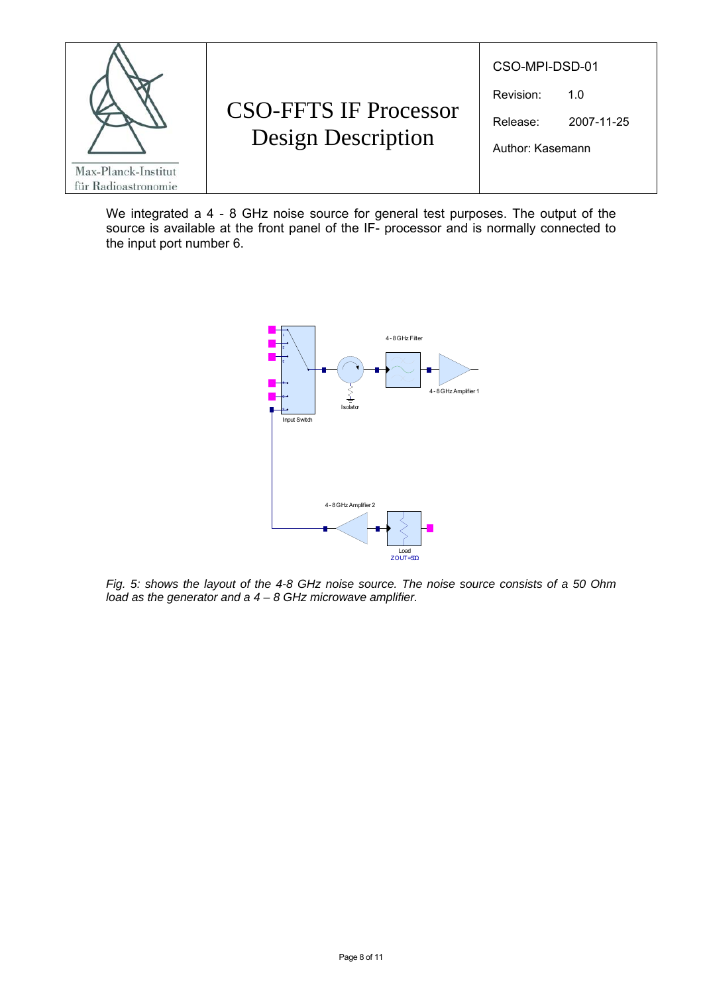

We integrated a 4 - 8 GHz noise source for general test purposes. The output of the source is available at the front panel of the IF- processor and is normally connected to the input port number 6.



*Fig. 5: shows the layout of the 4-8 GHz noise source. The noise source consists of a 50 Ohm load as the generator and a 4 – 8 GHz microwave amplifier.*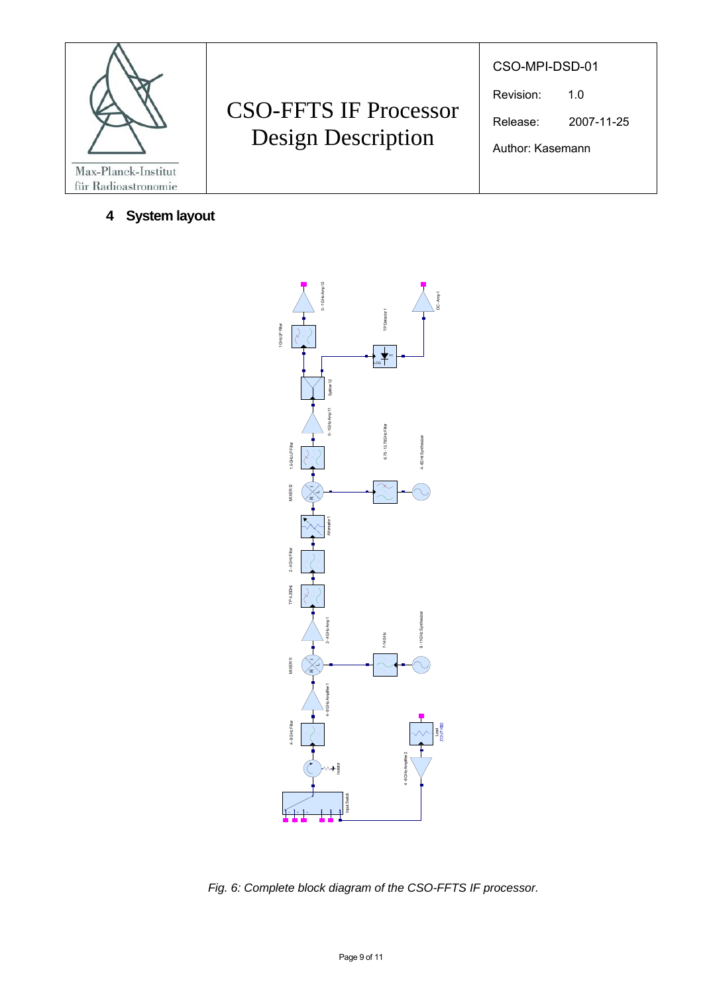

**4 System layout** 

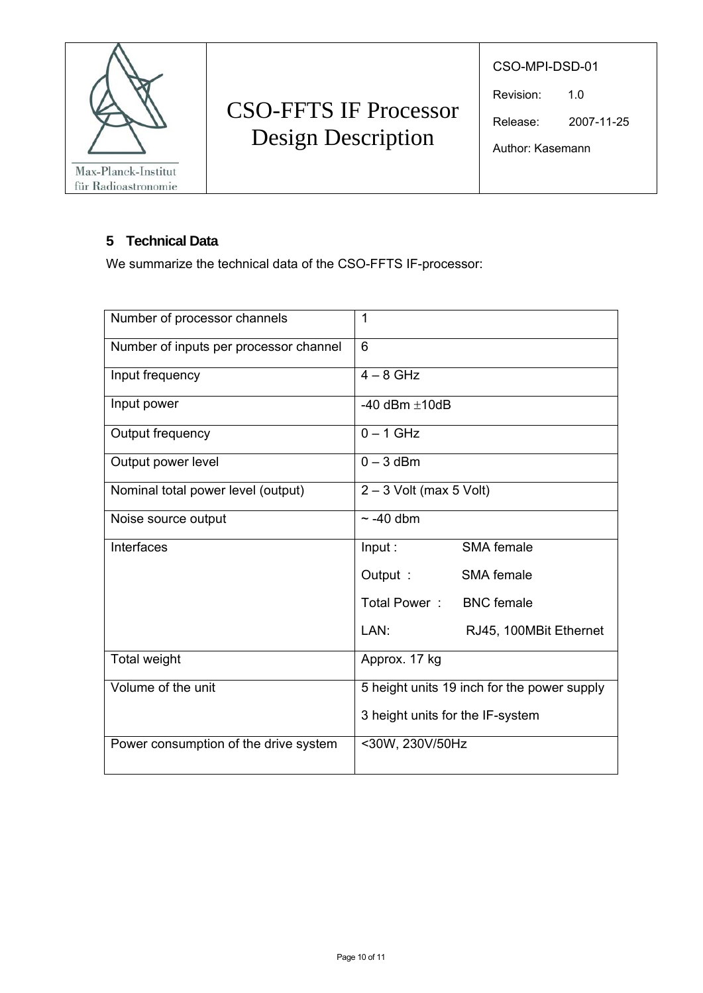

CSO-MPI-DSD-01

Revision: 1.0

Release: 2007-11-25

Author: Kasemann

#### **5 Technical Data**

We summarize the technical data of the CSO-FFTS IF-processor:

| Number of processor channels           | 1                                           |  |
|----------------------------------------|---------------------------------------------|--|
| Number of inputs per processor channel | 6                                           |  |
| Input frequency                        | $4 - 8$ GHz                                 |  |
| Input power                            | -40 dBm $\pm$ 10dB                          |  |
| Output frequency                       | $0 - 1$ GHz                                 |  |
| Output power level                     | $0 - 3$ dBm                                 |  |
| Nominal total power level (output)     | $2 - 3$ Volt (max 5 Volt)                   |  |
| Noise source output                    | $\sim$ -40 dbm                              |  |
| Interfaces                             | SMA female<br>Input:                        |  |
|                                        | Output :<br>SMA female                      |  |
|                                        | Total Power: BNC female                     |  |
|                                        | LAN:<br>RJ45, 100MBit Ethernet              |  |
| Total weight                           | Approx. 17 kg                               |  |
| Volume of the unit                     | 5 height units 19 inch for the power supply |  |
|                                        | 3 height units for the IF-system            |  |
| Power consumption of the drive system  | <30W, 230V/50Hz                             |  |